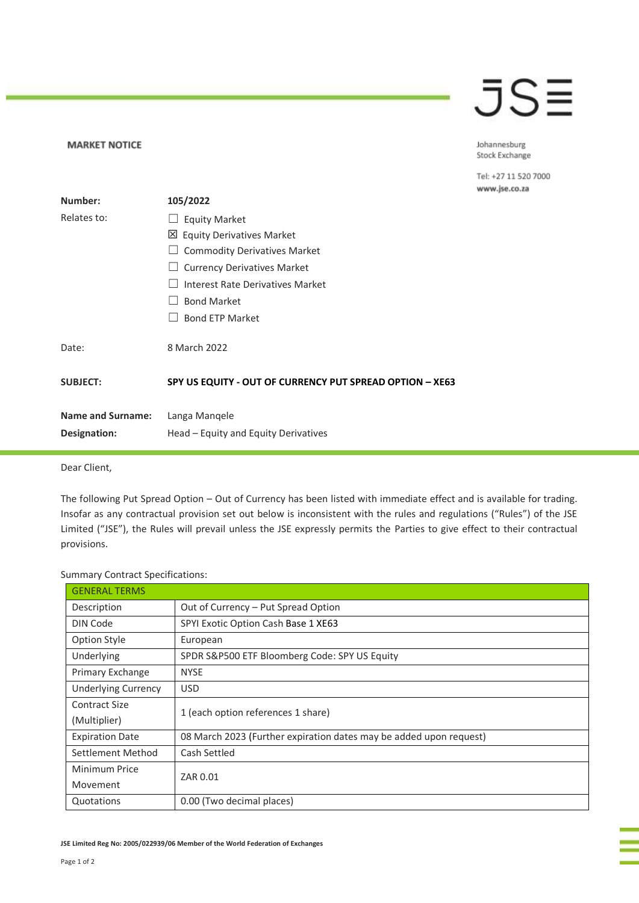## JS≣

Johannesburg Stock Exchange

Tel: +27 11 520 7000 www.jse.co.za

|                          |                                                          | w |
|--------------------------|----------------------------------------------------------|---|
| Number:                  | 105/2022                                                 |   |
| Relates to:              | <b>Equity Market</b>                                     |   |
|                          | 凶 Equity Derivatives Market                              |   |
|                          | <b>Commodity Derivatives Market</b>                      |   |
|                          | <b>Currency Derivatives Market</b>                       |   |
|                          | Interest Rate Derivatives Market                         |   |
|                          | <b>Bond Market</b>                                       |   |
|                          | <b>Bond ETP Market</b>                                   |   |
| Date:                    | 8 March 2022                                             |   |
| <b>SUBJECT:</b>          | SPY US EQUITY - OUT OF CURRENCY PUT SPREAD OPTION - XE63 |   |
| <b>Name and Surname:</b> | Langa Mangele                                            |   |
| <b>Designation:</b>      | Head – Equity and Equity Derivatives                     |   |
|                          |                                                          |   |

Dear Client,

**MARKET NOTICE** 

The following Put Spread Option – Out of Currency has been listed with immediate effect and is available for trading. Insofar as any contractual provision set out below is inconsistent with the rules and regulations ("Rules") of the JSE Limited ("JSE"), the Rules will prevail unless the JSE expressly permits the Parties to give effect to their contractual provisions.

## Summary Contract Specifications:

| <b>GENERAL TERMS</b>       |                                                                    |  |
|----------------------------|--------------------------------------------------------------------|--|
| Description                | Out of Currency - Put Spread Option                                |  |
| DIN Code                   | SPYI Exotic Option Cash Base 1 XE63                                |  |
| <b>Option Style</b>        | European                                                           |  |
| Underlying                 | SPDR S&P500 ETF Bloomberg Code: SPY US Equity                      |  |
| Primary Exchange           | <b>NYSE</b>                                                        |  |
| <b>Underlying Currency</b> | <b>USD</b>                                                         |  |
| Contract Size              | 1 (each option references 1 share)                                 |  |
| (Multiplier)               |                                                                    |  |
| <b>Expiration Date</b>     | 08 March 2023 (Further expiration dates may be added upon request) |  |
| Settlement Method          | Cash Settled                                                       |  |
| Minimum Price              | ZAR 0.01                                                           |  |
| Movement                   |                                                                    |  |
| Quotations                 | 0.00 (Two decimal places)                                          |  |